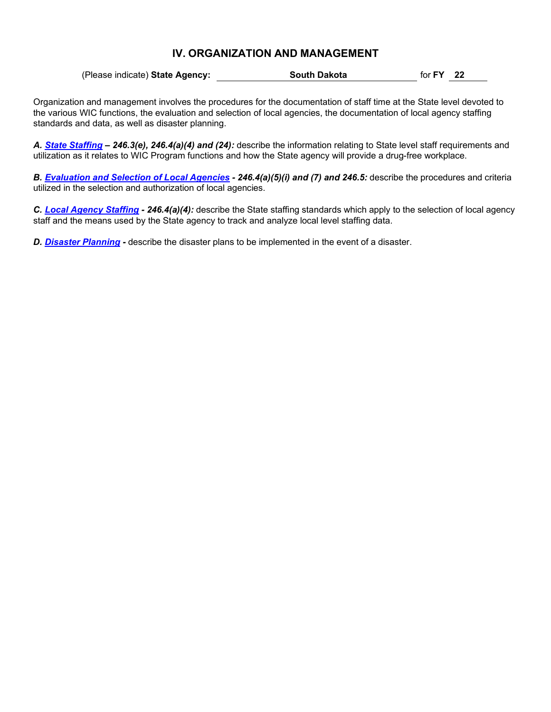(Please indicate) **State Agency: South Dakota** for **FY 22**

Organization and management involves the procedures for the documentation of staff time at the State level devoted to the various WIC functions, the evaluation and selection of local agencies, the documentation of local agency staffing standards and data, as well as disaster planning.

*A. State [Staffing](#page-1-0) – 246.3(e), 246.4(a)(4) and (24):* describe the information relating to State level staff requirements and utilization as it relates to WIC Program functions and how the State agency will provide a drug-free workplace.

*B. [Evaluation](#page-2-0) and Selection of Local Agencies - 246.4(a)(5)(i) and (7) and 246.5:* describe the procedures and criteria utilized in the selection and authorization of local agencies.

*C. Local [Agency Staffing](#page-5-0) - 246.4(a)(4):* describe the State staffing standards which apply to the selection of local agency staff and the means used by the State agency to track and analyze local level staffing data.

*D. [Disaster Planning](#page-6-0) -* describe the disaster plans to be implemented in the event of a disaster.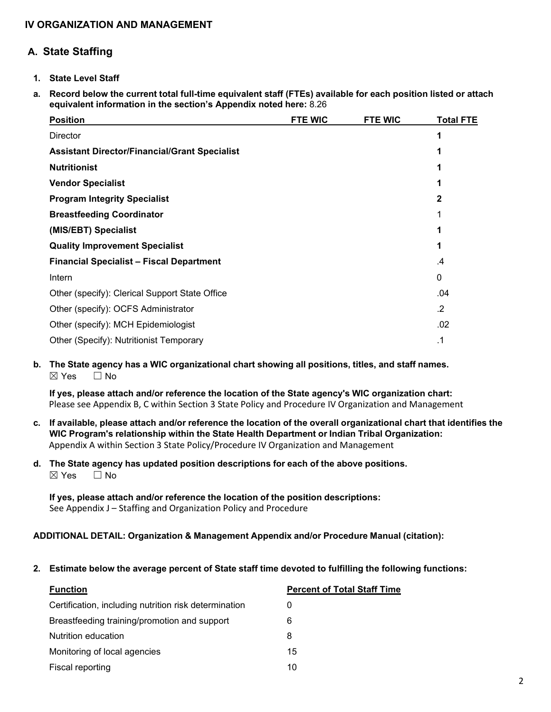# <span id="page-1-0"></span>**A. State Staffing**

- **1. State Level Staff**
- a. Record below the current total full-time equivalent staff (FTEs) available for each position listed or attach **equivalent information in the section's Appendix noted here:** 8.26

| <b>Position</b>                                      | <b>FTE WIC</b> | <b>FTE WIC</b> | <b>Total FTE</b> |
|------------------------------------------------------|----------------|----------------|------------------|
| <b>Director</b>                                      |                |                |                  |
| <b>Assistant Director/Financial/Grant Specialist</b> |                |                |                  |
| <b>Nutritionist</b>                                  |                |                |                  |
| <b>Vendor Specialist</b>                             |                |                |                  |
| <b>Program Integrity Specialist</b>                  |                |                | 2                |
| <b>Breastfeeding Coordinator</b>                     |                |                |                  |
| (MIS/EBT) Specialist                                 |                |                |                  |
| <b>Quality Improvement Specialist</b>                |                |                |                  |
| <b>Financial Specialist - Fiscal Department</b>      |                |                | .4               |
| Intern                                               |                |                | 0                |
| Other (specify): Clerical Support State Office       |                |                | .04              |
| Other (specify): OCFS Administrator                  |                |                | $\cdot$          |
| Other (specify): MCH Epidemiologist                  |                |                | .02              |
| Other (Specify): Nutritionist Temporary              |                |                | .1               |

## **b. The State agency has a WIC organizational chart showing all positions, titles, and staff names.** ☒ Yes ☐ No

**If yes, please attach and/or reference the location of the State agency's WIC organization chart:** Please see Appendix B, C within Section 3 State Policy and Procedure IV Organization and Management

- c. If available, please attach and/or reference the location of the overall organizational chart that identifies the **WIC Program's relationship within the State Health Department or Indian Tribal Organization:** Appendix A within Section 3 State Policy/Procedure IV Organization and Management
- **d. The State agency has updated position descriptions for each of the above positions.**  $\boxtimes$  Yes  $\Box$  No

**If yes, please attach and/or reference the location of the position descriptions:** See Appendix J - Staffing and Organization Policy and Procedure

### **ADDITIONAL DETAIL: Organization & Management Appendix and/or Procedure Manual (citation):**

**2. Estimate below the average percent of State staff time devoted to fulfilling the following functions:**

| <b>Function</b>                                       | <b>Percent of Total Staff Time</b> |
|-------------------------------------------------------|------------------------------------|
| Certification, including nutrition risk determination |                                    |
| Breastfeeding training/promotion and support          | 6                                  |
| Nutrition education                                   | 8                                  |
| Monitoring of local agencies                          | 15                                 |
| Fiscal reporting                                      | 10                                 |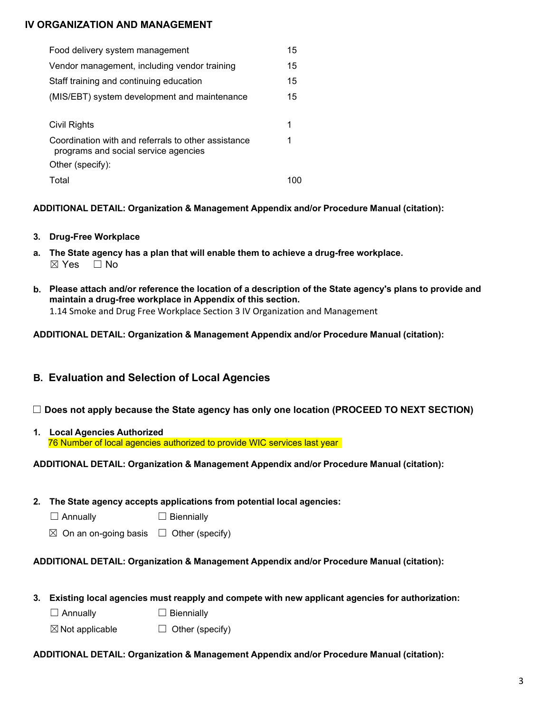| Food delivery system management                                                             | 15 |
|---------------------------------------------------------------------------------------------|----|
| Vendor management, including vendor training                                                | 15 |
| Staff training and continuing education                                                     | 15 |
| (MIS/EBT) system development and maintenance                                                | 15 |
|                                                                                             |    |
| Civil Rights                                                                                | 1  |
| Coordination with and referrals to other assistance<br>programs and social service agencies | 1  |
| Other (specify):                                                                            |    |
| Total                                                                                       |    |

# **ADDITIONAL DETAIL: Organization & Management Appendix and/or Procedure Manual (citation):**

- **3. Drug-Free Workplace**
- **a. The State agency has a plan that will enable them to achieve a drug-free workplace.**  $\boxtimes$  Yes  $\Box$  No
- b. Please attach and/or reference the location of a description of the State agency's plans to provide and **maintain a drug-free workplace in Appendix of this section.** 1.14 Smoke and Drug Free Workplace Section 3 IV Organization and Management

# **ADDITIONAL DETAIL: Organization & Management Appendix and/or Procedure Manual (citation):**

# <span id="page-2-0"></span>**B. Evaluation and Selection of Local Agencies**

- ☐ **Does not apply because the State agency has only one location (PROCEED TO NEXT SECTION)**
- **1. Local Agencies Authorized** 76 Number of local agencies authorized to provide WIC services last year

# **ADDITIONAL DETAIL: Organization & Management Appendix and/or Procedure Manual (citation):**

- **2. The State agency accepts applications from potential local agencies:**
	- ☐ Annually ☐ Biennially
	- $\boxtimes$  On an on-going basis  $\Box$  Other (specify)

# **ADDITIONAL DETAIL: Organization & Management Appendix and/or Procedure Manual (citation):**

- **3. Existing local agencies must reapply and compete with new applicant agencies for authorization:**
	- □ Annually □ Biennially
	- $\boxtimes$  Not applicable  $\Box$  Other (specify)

# **ADDITIONAL DETAIL: Organization & Management Appendix and/or Procedure Manual (citation):**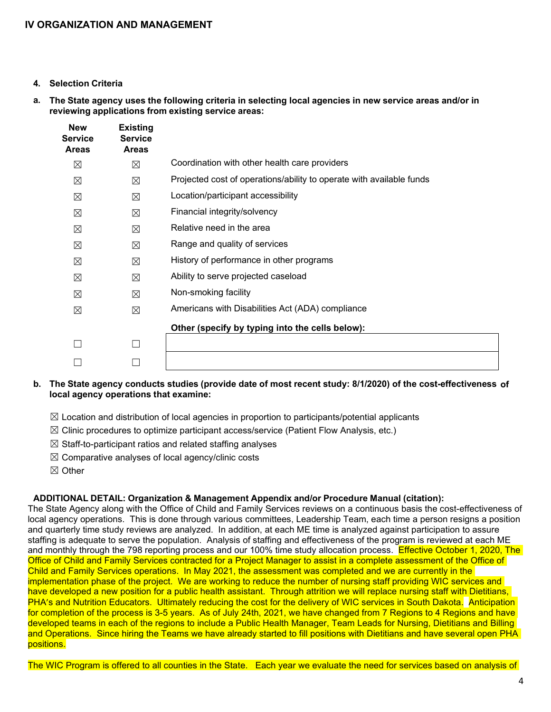- **4. Selection Criteria**
- a. The State agency uses the following criteria in selecting local agencies in new service areas and/or in **reviewing applications from existing service areas:**

| <b>New</b><br>Service<br><b>Areas</b> | <b>Existing</b><br><b>Service</b><br><b>Areas</b> |                                                                      |
|---------------------------------------|---------------------------------------------------|----------------------------------------------------------------------|
| $\boxtimes$                           | $\boxtimes$                                       | Coordination with other health care providers                        |
| ⊠                                     | ⊠                                                 | Projected cost of operations/ability to operate with available funds |
| ⊠                                     | ⊠                                                 | Location/participant accessibility                                   |
| ⊠                                     | ⊠                                                 | Financial integrity/solvency                                         |
| ⊠                                     | ⊠                                                 | Relative need in the area                                            |
| ⊠                                     | $\boxtimes$                                       | Range and quality of services                                        |
| ⊠                                     | ⊠                                                 | History of performance in other programs                             |
| ⊠                                     | $\boxtimes$                                       | Ability to serve projected caseload                                  |
| ⊠                                     | ⊠                                                 | Non-smoking facility                                                 |
| ⊠                                     | $\boxtimes$                                       | Americans with Disabilities Act (ADA) compliance                     |
|                                       |                                                   | Other (specify by typing into the cells below):                      |
|                                       | П                                                 |                                                                      |
|                                       |                                                   |                                                                      |

### **b. The State agency conducts studies (provide date of most recent study: 8/1/2020) of the cost-effectiveness of local agency operations that examine:**

- $\boxtimes$  Location and distribution of local agencies in proportion to participants/potential applicants
- $\boxtimes$  Clinic procedures to optimize participant access/service (Patient Flow Analysis, etc.)
- $\boxtimes$  Staff-to-participant ratios and related staffing analyses
- $\boxtimes$  Comparative analyses of local agency/clinic costs
- ☒ Other

### **ADDITIONAL DETAIL: Organization & Management Appendix and/or Procedure Manual (citation):**

The State Agency along with the Office of Child and Family Services reviews on a continuous basis the cost-effectiveness of local agency operations. This is done through various committees, Leadership Team, each time a person resigns a position and quarterly time study reviews are analyzed. In addition, at each ME time is analyzed against participation to assure staffing is adequate to serve the population. Analysis of staffing and effectiveness of the program is reviewed at each ME and monthly through the 798 reporting process and our 100% time study allocation process. Effective October 1, 2020, The Office of Child and Family Services contracted for a Project Manager to assist in a complete assessment of the Office of Child and Family Services operations. In May 2021, the assessment was completed and we are currently in the implementation phase of the project. We are working to reduce the number of nursing staff providing WIC services and have developed a new position for a public health assistant. Through attrition we will replace nursing staff with Dietitians, PHA's and Nutrition Educators. Ultimately reducing the cost for the delivery of WIC services in South Dakota. Anticipation for completion of the process is 3-5 years. As of July 24th, 2021, we have changed from 7 Regions to 4 Regions and have developed teams in each of the regions to include a Public Health Manager, Team Leads for Nursing, Dietitians and Billing and Operations. Since hiring the Teams we have already started to fill positions with Dietitians and have several open PHA positions.

The WIC Program is offered to all counties in the State. Each year we evaluate the need for services based on analysis of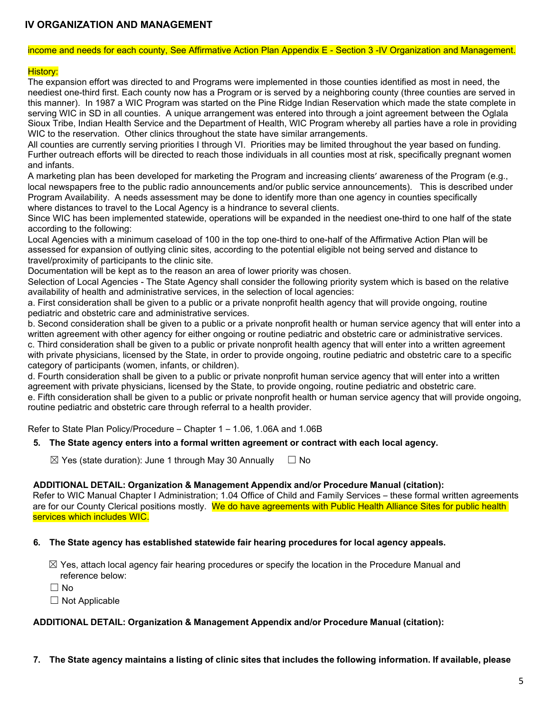#### income and needs for each county, See Affirmative Action Plan Appendix E - Section 3 -IV Organization and Management.

### History:

The expansion effort was directed to and Programs were implemented in those counties identified as most in need, the neediest one-third first. Each county now has a Program or is served by a neighboring county (three counties are served in this manner). In 1987 a WIC Program was started on the Pine Ridge Indian Reservation which made the state complete in serving WIC in SD in all counties. A unique arrangement was entered into through a joint agreement between the Oglala Sioux Tribe, Indian Health Service and the Department of Health, WIC Program whereby all parties have a role in providing WIC to the reservation. Other clinics throughout the state have similar arrangements.

All counties are currently serving priorities I through VI. Priorities may be limited throughout the year based on funding. Further outreach efforts will be directed to reach those individuals in all counties most at risk, specifically pregnant women and infants.

A marketing plan has been developed for marketing the Program and increasing clients' awareness of the Program (e.g., local newspapers free to the public radio announcements and/or public service announcements). This is described under Program Availability. A needs assessment may be done to identify more than one agency in counties specifically where distances to travel to the Local Agency is a hindrance to several clients.

Since WIC has been implemented statewide, operations will be expanded in the neediest one-third to one half of the state according to the following:

Local Agencies with a minimum caseload of 100 in the top one-third to one-half of the Affirmative Action Plan will be assessed for expansion of outlying clinic sites, according to the potential eligible not being served and distance to travel/proximity of participants to the clinic site.

Documentation will be kept as to the reason an area of lower priority was chosen.

Selection of Local Agencies - The State Agency shall consider the following priority system which is based on the relative availability of health and administrative services, in the selection of local agencies:

a. First consideration shall be given to a public or a private nonprofit health agency that will provide ongoing, routine pediatric and obstetric care and administrative services.

b. Second consideration shall be given to a public or a private nonprofit health or human service agency that will enter into a written agreement with other agency for either ongoing or routine pediatric and obstetric care or administrative services. c. Third consideration shall be given to a public or private nonprofit health agency that will enter into a written agreement with private physicians, licensed by the State, in order to provide ongoing, routine pediatric and obstetric care to a specific category of participants (women, infants, or children).

d. Fourth consideration shall be given to a public or private nonprofit human service agency that will enter into a written agreement with private physicians, licensed by the State, to provide ongoing, routine pediatric and obstetric care. e. Fifth consideration shall be given to a public or private nonprofit health or human service agency that will provide ongoing, routine pediatric and obstetric care through referral to a health provider.

Refer to State Plan Policy/Procedure – Chapter 1 – 1.06, 1.06A and 1.06B

### **5. The State agency enters into a formal written agreement or contract with each local agency.**

 $\boxtimes$  Yes (state duration): June 1 through May 30 Annually  $\Box$  No

### **ADDITIONAL DETAIL: Organization & Management Appendix and/or Procedure Manual (citation):**

Refer to WIC Manual Chapter I Administration; 1.04 Office of Child and Family Services – these formal written agreements are for our County Clerical positions mostly. We do have agreements with Public Health Alliance Sites for public health services which includes WIC.

#### **6. The State agency has established statewide fair hearing procedures for local agency appeals.**

 $\boxtimes$  Yes, attach local agency fair hearing procedures or specify the location in the Procedure Manual and reference below:

☐ No

 $\Box$  Not Applicable

#### **ADDITIONAL DETAIL: Organization & Management Appendix and/or Procedure Manual (citation):**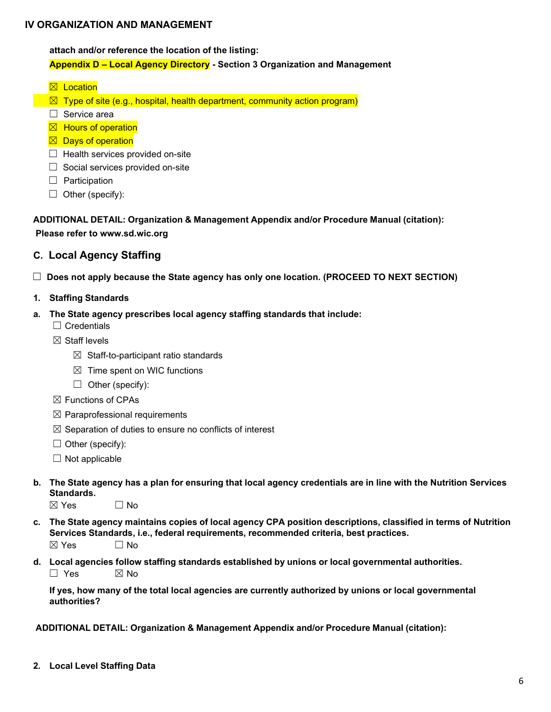**attach and/or reference the location of the listing:**

### **Appendix D – Local Agency Directory - Section 3 Organization and Management**

- $\boxtimes$  Location
- $\boxtimes$  Type of site (e.g., hospital, health department, community action program)
- ☐ Service area
- $\boxtimes$  Hours of operation
- $\boxtimes$  Days of operation
- $\Box$  Health services provided on-site
- $\Box$  Social services provided on-site
- □ Participation
- $\Box$  Other (specify):

**ADDITIONAL DETAIL: Organization & Management Appendix and/or Procedure Manual (citation):**

#### **Please refer to www.sd.wic.org**

- <span id="page-5-0"></span>**C. Local Agency Staffing**
- ☐ **Does not apply because the State agency has only one location. (PROCEED TO NEXT SECTION)**
- **1. Staffing Standards**
- **a. The State agency prescribes local agency staffing standards that include:**
	- ☐ Credentials
	- $\boxtimes$  Staff levels
		- $\boxtimes$  Staff-to-participant ratio standards
		- $\boxtimes$  Time spent on WIC functions
		- $\Box$  Other (specify):
	- ☒ Functions of CPAs
	- $\boxtimes$  Paraprofessional requirements
	- $\boxtimes$  Separation of duties to ensure no conflicts of interest
	- $\Box$  Other (specify):
	- $\Box$  Not applicable
- b. The State agency has a plan for ensuring that local agency credentials are in line with the Nutrition Services **Standards.**
	- $\boxtimes$  Yes  $\Box$  No
- c. The State agency maintains copies of local agency CPA position descriptions, classified in terms of Nutrition **Services Standards, i.e., federal requirements, recommended criteria, best practices.**  $\boxtimes$  Yes  $\Box$  No
- **d. Local agencies follow staffing standards established by unions or local governmental authorities.**  $\square$  Yes  $\square$  No

**If yes, how many of the total local agencies are currently authorized by unions or local governmental authorities?**

**ADDITIONAL DETAIL: Organization & Management Appendix and/or Procedure Manual (citation):**

**2. Local Level Staffing Data**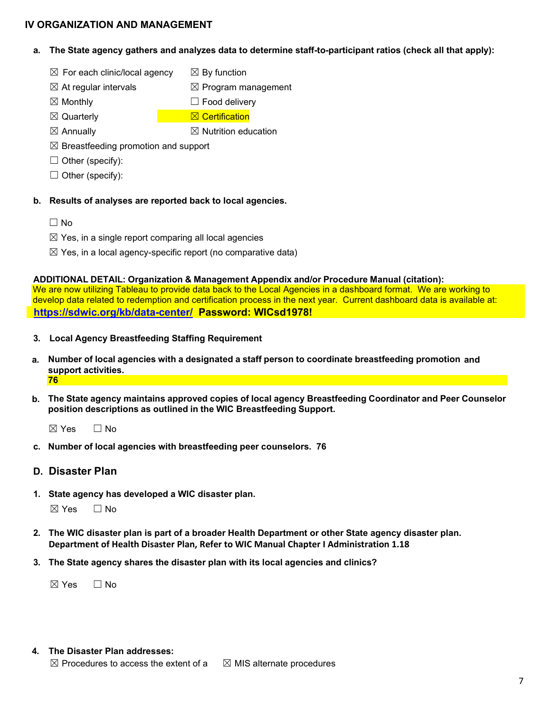- **a. The State agency gathers and analyzes data to determine staff-to-participant ratios (check all that apply):**
	- $\boxtimes$  For each clinic/local agency  $\boxtimes$  By function
	- $\boxtimes$  At regular intervals  $\boxtimes$  Program management
	- $\boxtimes$  Monthly  $\Box$  Food delivery
	- **⊠** Quarterly **Department Control Department Control** Certification
	- $\boxtimes$  Annually  $\boxtimes$  Nutrition education
	- $\boxtimes$  Breastfeeding promotion and support
	- $\Box$  Other (specify):
	- $\Box$  Other (specify):
- **b. Results of analyses are reported back to local agencies.**
	- ☐ No
	- $\boxtimes$  Yes, in a single report comparing all local agencies
	- $\boxtimes$  Yes, in a local agency-specific report (no comparative data)

#### **ADDITIONAL DETAIL: Organization & Management Appendix and/or Procedure Manual (citation):**

We are now utilizing Tableau to provide data back to the Local Agencies in a dashboard format. We are working to develop data related to redemption and certification process in the next year. Current dashboard data is available at:  **<https://sdwic.org/kb/data-center/>Password: WICsd1978!**

- **3. Local Agency Breastfeeding Staffing Requirement**
- **a. Number of local agencies with a designated a staff person to coordinate breastfeeding promotion and support activities. 76**
- **b. The State agency maintains approved copies of local agency Breastfeeding Coordinator and Peer Counselor position descriptions as outlined in the WIC Breastfeeding Support.**

 $\boxtimes$  Yes  $\qquad \Box$  No

**c. Number of local agencies with breastfeeding peer counselors. 76**

## <span id="page-6-0"></span>**D. Disaster Plan**

**1. State agency has developed a WIC disaster plan.**

 $\boxtimes$  Yes  $\Box$  No

- **2. The WIC disaster plan is part of a broader Health Department or other State agency disaster plan. Department of Health Disaster Plan, Refer to WIC Manual Chapter I Administration 1.18**
- **3. The State agency shares the disaster plan with its local agencies and clinics?**

 $\boxtimes$  Yes  $\Box$  No